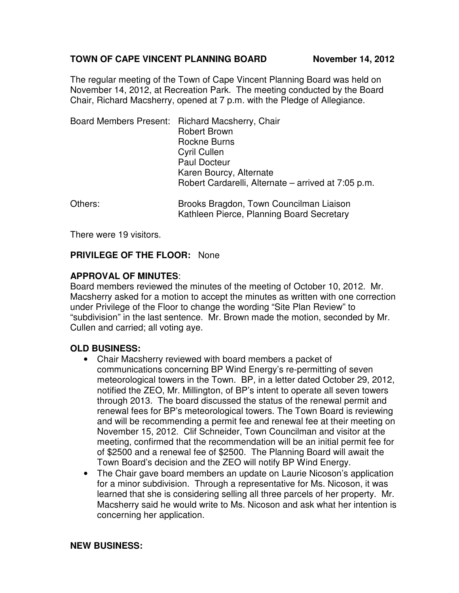# TOWN OF CAPE VINCENT PLANNING BOARD November 14, 2012

The regular meeting of the Town of Cape Vincent Planning Board was held on November 14, 2012, at Recreation Park. The meeting conducted by the Board Chair, Richard Macsherry, opened at 7 p.m. with the Pledge of Allegiance.

|         | Board Members Present: Richard Macsherry, Chair<br><b>Robert Brown</b><br><b>Rockne Burns</b><br><b>Cyril Cullen</b><br><b>Paul Docteur</b> |
|---------|---------------------------------------------------------------------------------------------------------------------------------------------|
|         | Karen Bourcy, Alternate<br>Robert Cardarelli, Alternate – arrived at 7:05 p.m.                                                              |
| Others: | Brooks Bragdon, Town Councilman Liaison<br>Kathleen Pierce, Planning Board Secretary                                                        |

There were 19 visitors.

# **PRIVILEGE OF THE FLOOR:** None

## **APPROVAL OF MINUTES**:

Board members reviewed the minutes of the meeting of October 10, 2012. Mr. Macsherry asked for a motion to accept the minutes as written with one correction under Privilege of the Floor to change the wording "Site Plan Review" to "subdivision" in the last sentence. Mr. Brown made the motion, seconded by Mr. Cullen and carried; all voting aye.

## **OLD BUSINESS:**

- Chair Macsherry reviewed with board members a packet of communications concerning BP Wind Energy's re-permitting of seven meteorological towers in the Town. BP, in a letter dated October 29, 2012, notified the ZEO, Mr. Millington, of BP's intent to operate all seven towers through 2013. The board discussed the status of the renewal permit and renewal fees for BP's meteorological towers. The Town Board is reviewing and will be recommending a permit fee and renewal fee at their meeting on November 15, 2012. Clif Schneider, Town Councilman and visitor at the meeting, confirmed that the recommendation will be an initial permit fee for of \$2500 and a renewal fee of \$2500. The Planning Board will await the Town Board's decision and the ZEO will notify BP Wind Energy.
- The Chair gave board members an update on Laurie Nicoson's application for a minor subdivision. Through a representative for Ms. Nicoson, it was learned that she is considering selling all three parcels of her property. Mr. Macsherry said he would write to Ms. Nicoson and ask what her intention is concerning her application.

### **NEW BUSINESS:**